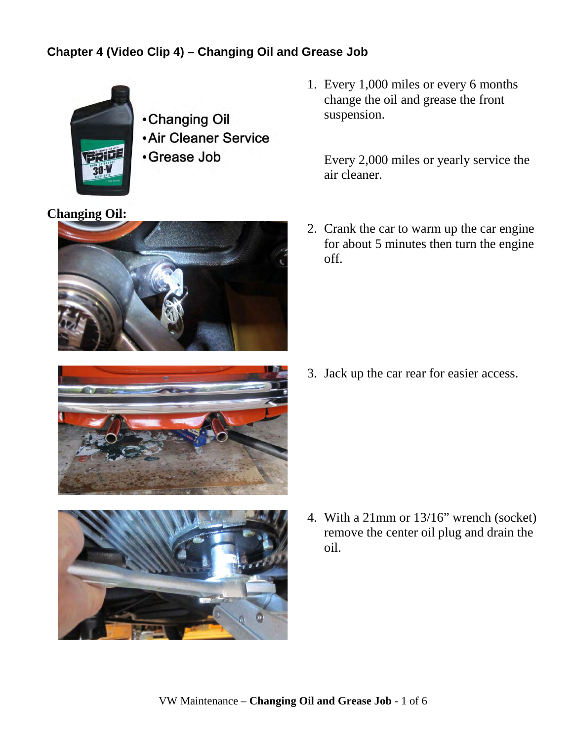## **Chapter 4 (Video Clip 4) – Changing Oil and Grease Job**



**.Changing Oil .Air Cleaner Service** •Grease Job

## **Changing Oil:**





1. Every 1,000 miles or every 6 months change the oil and grease the front suspension.

Every 2,000 miles or yearly service the air cleaner.

2. Crank the car to warm up the car engine for about 5 minutes then turn the engine off.

3. Jack up the car rear for easier access.

4. With a 21mm or 13/16" wrench (socket) remove the center oil plug and drain the oil.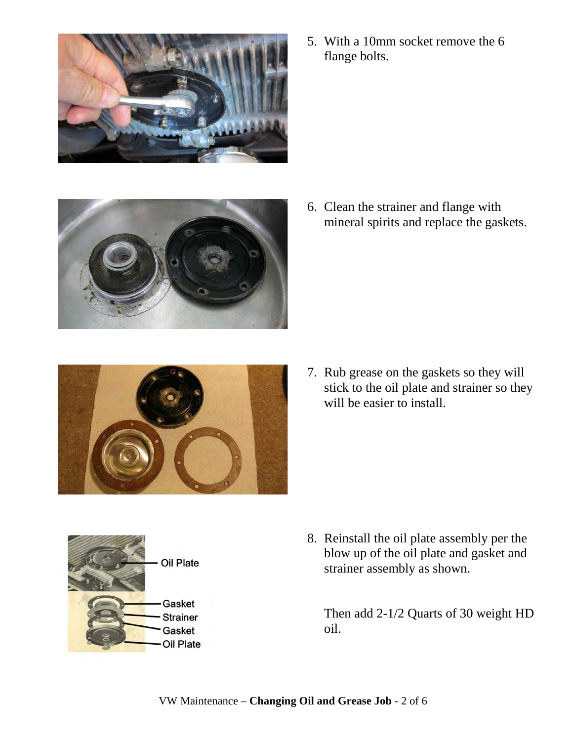

5. With a 10mm socket remove the 6 flange bolts.



6. Clean the strainer and flange with mineral spirits and replace the gaskets.



7. Rub grease on the gaskets so they will stick to the oil plate and strainer so they will be easier to install.



8. Reinstall the oil plate assembly per the blow up of the oil plate and gasket and strainer assembly as shown.

Then add 2-1/2 Quarts of 30 weight HD oil.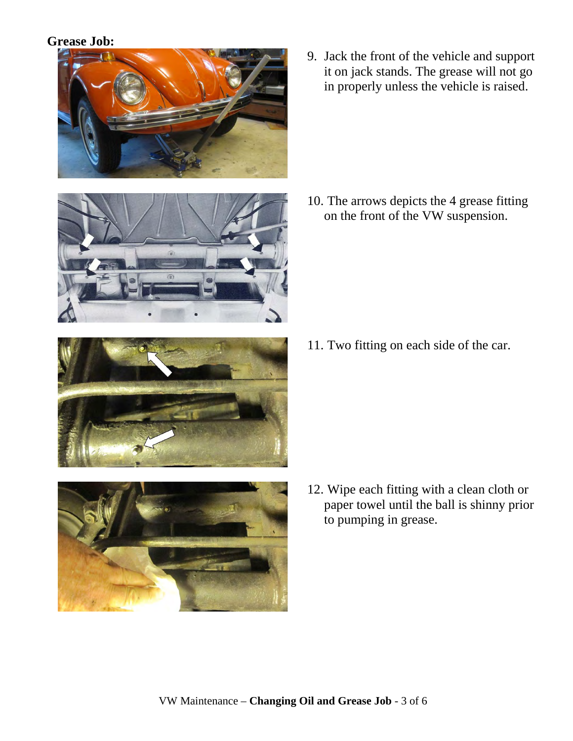## **Grease Job:**





9. Jack the front of the vehicle and support it on jack stands. The grease will not go in properly unless the vehicle is raised.

10. The arrows depicts the 4 grease fitting on the front of the VW suspension.

11. Two fitting on each side of the car.



- 
- 12. Wipe each fitting with a clean cloth or paper towel until the ball is shinny prior to pumping in grease.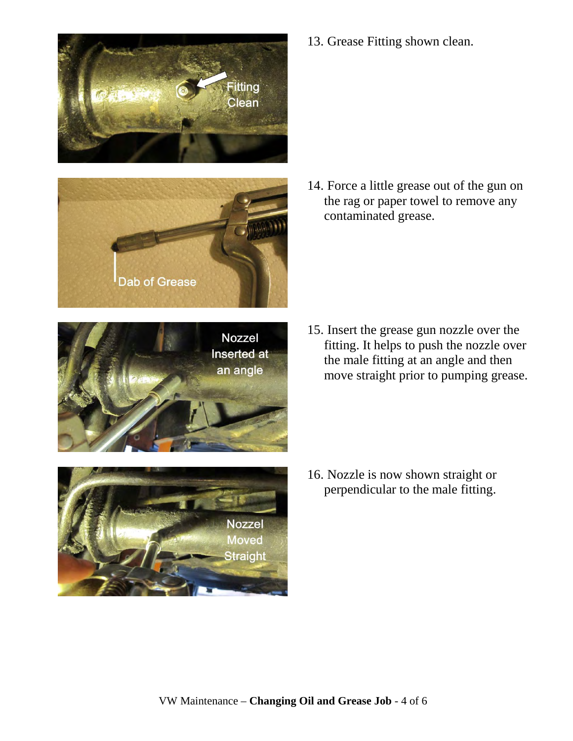







Dab of Grease

15. Insert the grease gun nozzle over the fitting. It helps to push the nozzle over the male fitting at an angle and then move straight prior to pumping grease.

16. Nozzle is now shown straight or perpendicular to the male fitting.

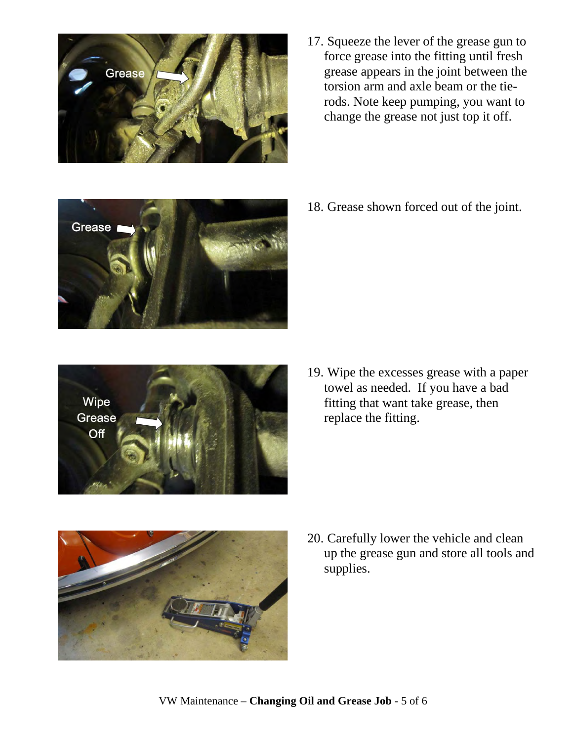

17. Squeeze the lever of the grease gun to force grease into the fitting until fresh grease appears in the joint between the torsion arm and axle beam or the tierods. Note keep pumping, you want to change the grease not just top it off.



18. Grease shown forced out of the joint.



19. Wipe the excesses grease with a paper towel as needed. If you have a bad fitting that want take grease, then replace the fitting.



20. Carefully lower the vehicle and clean up the grease gun and store all tools and supplies.